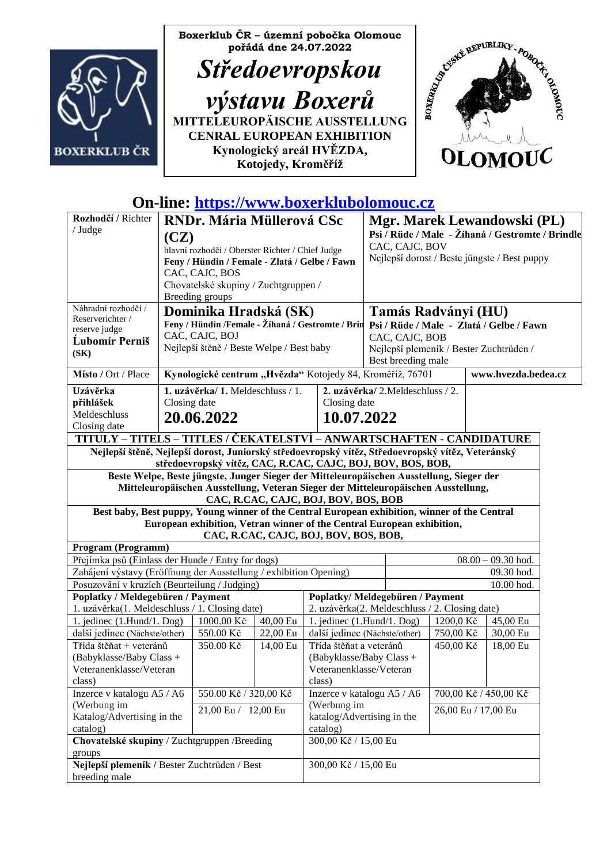



# **On-line: [https://www.boxerklubolomouc.cz](https://www.boxerklubolomouc.cz/)**

| Rozhodčí / Richter<br>/ Judge                                                                                                                                    | <b>RNDr. Mária Müllerová CSc</b><br>(CZ)<br>hlavní rozhodčí / Oberster Richter / Chief Judge<br>Feny / Hündin / Female - Zlatá / Gelbe / Fawn<br>CAC, CAJC, BOS<br>Chovatelské skupiny / Zuchtgruppen /<br>Breeding groups |                                                                                          |                                           |                                       |                                                                                 | Mgr. Marek Lewandowski (PL)<br>Psi / Rüde / Male - Žíhaná / Gestromte / Brindle<br>CAC, CAJC, BOV<br>Nejlepší dorost / Beste jüngste / Best puppy |            |  |          |  |
|------------------------------------------------------------------------------------------------------------------------------------------------------------------|----------------------------------------------------------------------------------------------------------------------------------------------------------------------------------------------------------------------------|------------------------------------------------------------------------------------------|-------------------------------------------|---------------------------------------|---------------------------------------------------------------------------------|---------------------------------------------------------------------------------------------------------------------------------------------------|------------|--|----------|--|
| Náhradní rozhodčí /<br>Reserverichter /<br>reserve judge                                                                                                         |                                                                                                                                                                                                                            | Dominika Hradská (SK)                                                                    |                                           |                                       |                                                                                 | Tamás Radványi (HU)<br>Feny / Hündin /Female - Žíhaná / Gestromte / Brin Psi / Rüde / Male - Zlatá / Gelbe / Fawn                                 |            |  |          |  |
| <b>Lubomír Perniš</b><br>(SK)                                                                                                                                    |                                                                                                                                                                                                                            | CAC, CAJC, BOJ<br>Nejlepší štěně / Beste Welpe / Best baby                               |                                           |                                       | CAC, CAJC, BOB<br>Nejlepší plemeník / Bester Zuchtrüden /<br>Best breeding male |                                                                                                                                                   |            |  |          |  |
| Místo / Ort / Place                                                                                                                                              | Kynologické centrum "Hvězda" Kotojedy 84, Kroměříž, 76701<br>www.hvezda.bedea.cz                                                                                                                                           |                                                                                          |                                           |                                       |                                                                                 |                                                                                                                                                   |            |  |          |  |
| Uzávěrka                                                                                                                                                         |                                                                                                                                                                                                                            | 1. uzávěrka/1. Meldeschluss / 1.                                                         |                                           | 2. uzávěrka/2. Meldeschluss / 2.      |                                                                                 |                                                                                                                                                   |            |  |          |  |
| přihlášek<br>Meldeschluss                                                                                                                                        |                                                                                                                                                                                                                            | Closing date                                                                             |                                           |                                       | Closing date                                                                    |                                                                                                                                                   |            |  |          |  |
| Closing date                                                                                                                                                     |                                                                                                                                                                                                                            | 20.06.2022                                                                               |                                           | 10.07.2022                            |                                                                                 |                                                                                                                                                   |            |  |          |  |
| TITULY - TITELS - TITLES / ČEKATELSTVÍ - ANWARTSCHAFTEN - CANDIDATURE                                                                                            |                                                                                                                                                                                                                            |                                                                                          |                                           |                                       |                                                                                 |                                                                                                                                                   |            |  |          |  |
| Nejlepší štěně, Nejlepší dorost, Juniorský středoevropský vítěz, Středoevropský vítěz, Veteránský<br>středoevropský vítěz, CAC, R.CAC, CAJC, BOJ, BOV, BOS, BOB, |                                                                                                                                                                                                                            |                                                                                          |                                           |                                       |                                                                                 |                                                                                                                                                   |            |  |          |  |
|                                                                                                                                                                  |                                                                                                                                                                                                                            | Beste Welpe, Beste jüngste, Junger Sieger der Mitteleuropäischen Ausstellung, Sieger der |                                           |                                       |                                                                                 |                                                                                                                                                   |            |  |          |  |
|                                                                                                                                                                  |                                                                                                                                                                                                                            | Mitteleuropäischen Ausstellung, Veteran Sieger der Mitteleuropäischen Ausstellung,       |                                           |                                       |                                                                                 |                                                                                                                                                   |            |  |          |  |
| Best baby, Best puppy, Young winner of the Central European exhibition, winner of the Central                                                                    |                                                                                                                                                                                                                            |                                                                                          |                                           | CAC, R.CAC, CAJC, BOJ, BOV, BOS, BOB  |                                                                                 |                                                                                                                                                   |            |  |          |  |
|                                                                                                                                                                  |                                                                                                                                                                                                                            | European exhibition, Vetran winner of the Central European exhibition,                   |                                           | CAC, R.CAC, CAJC, BOJ, BOV, BOS, BOB, |                                                                                 |                                                                                                                                                   |            |  |          |  |
| Program (Programm)                                                                                                                                               |                                                                                                                                                                                                                            |                                                                                          |                                           |                                       |                                                                                 |                                                                                                                                                   |            |  |          |  |
| Přejímka psů (Einlass der Hunde / Entry for dogs)                                                                                                                |                                                                                                                                                                                                                            |                                                                                          |                                           |                                       | $08.00 - 09.30$ hod.                                                            |                                                                                                                                                   |            |  |          |  |
| Zahájení výstavy (Eröffnung der Ausstellung / exhibition Opening)                                                                                                |                                                                                                                                                                                                                            |                                                                                          |                                           |                                       |                                                                                 |                                                                                                                                                   | 09.30 hod. |  |          |  |
| Posuzování v kruzích (Beurteilung / Judging)                                                                                                                     |                                                                                                                                                                                                                            |                                                                                          |                                           |                                       |                                                                                 | 10.00 hod.                                                                                                                                        |            |  |          |  |
| Poplatky / Meldegebüren / Payment<br>1. uzávěrka(1. Meldeschluss / 1. Closing date)                                                                              |                                                                                                                                                                                                                            | Poplatky/Meldegebüren / Payment<br>2. uzávěrka(2. Meldeschluss / 2. Closing date)        |                                           |                                       |                                                                                 |                                                                                                                                                   |            |  |          |  |
| 1. jedinec $(1.Hund/1.$ Dog)                                                                                                                                     |                                                                                                                                                                                                                            | 1000.00 Kč                                                                               | 40,00 Eu                                  |                                       | 1. jedinec $(1.Hund/1. Dog)$                                                    |                                                                                                                                                   | 1200,0 Kč  |  | 45,00 Eu |  |
| další jedinec (Nächste/other)                                                                                                                                    |                                                                                                                                                                                                                            | 550.00 Kč                                                                                | 22,00 Eu                                  |                                       | další jedinec (Nächste/other)                                                   |                                                                                                                                                   | 750,00 Kč  |  | 30,00 Eu |  |
| Třída štěňat + veteránů                                                                                                                                          |                                                                                                                                                                                                                            | 350.00 Kč                                                                                | 14,00 Eu                                  | Třída štěňat a veteránů               |                                                                                 |                                                                                                                                                   | 450,00 Kč  |  | 18,00 Eu |  |
| (Babyklasse/Baby Class +                                                                                                                                         |                                                                                                                                                                                                                            |                                                                                          |                                           | (Babyklasse/Baby Class +              |                                                                                 |                                                                                                                                                   |            |  |          |  |
| Veteranenklasse/Veteran<br>class)                                                                                                                                |                                                                                                                                                                                                                            |                                                                                          |                                           | Veteranenklasse/Veteran<br>class)     |                                                                                 |                                                                                                                                                   |            |  |          |  |
| Inzerce v katalogu A5 / A6                                                                                                                                       |                                                                                                                                                                                                                            | 550.00 Kč / 320,00 Kč                                                                    |                                           | Inzerce v katalogu A5 / A6            |                                                                                 | 700,00 Kč / 450,00 Kč                                                                                                                             |            |  |          |  |
| (Werbung im                                                                                                                                                      | 21,00 Eu / 12,00 Eu                                                                                                                                                                                                        |                                                                                          | (Werbung im<br>katalog/Advertising in the |                                       |                                                                                 | 26,00 Eu / 17,00 Eu                                                                                                                               |            |  |          |  |
| Katalog/Advertising in the                                                                                                                                       |                                                                                                                                                                                                                            |                                                                                          |                                           |                                       |                                                                                 |                                                                                                                                                   |            |  |          |  |
| catalog)<br>Chovatelské skupiny / Zuchtgruppen /Breeding                                                                                                         |                                                                                                                                                                                                                            |                                                                                          |                                           | catalog)<br>300,00 Kč / 15,00 Eu      |                                                                                 |                                                                                                                                                   |            |  |          |  |
| groups                                                                                                                                                           |                                                                                                                                                                                                                            |                                                                                          |                                           |                                       |                                                                                 |                                                                                                                                                   |            |  |          |  |
| Nejlepší plemeník / Bester Zuchtrüden / Best                                                                                                                     |                                                                                                                                                                                                                            |                                                                                          |                                           | 300,00 Kč / 15,00 Eu                  |                                                                                 |                                                                                                                                                   |            |  |          |  |
| breeding male                                                                                                                                                    |                                                                                                                                                                                                                            |                                                                                          |                                           |                                       |                                                                                 |                                                                                                                                                   |            |  |          |  |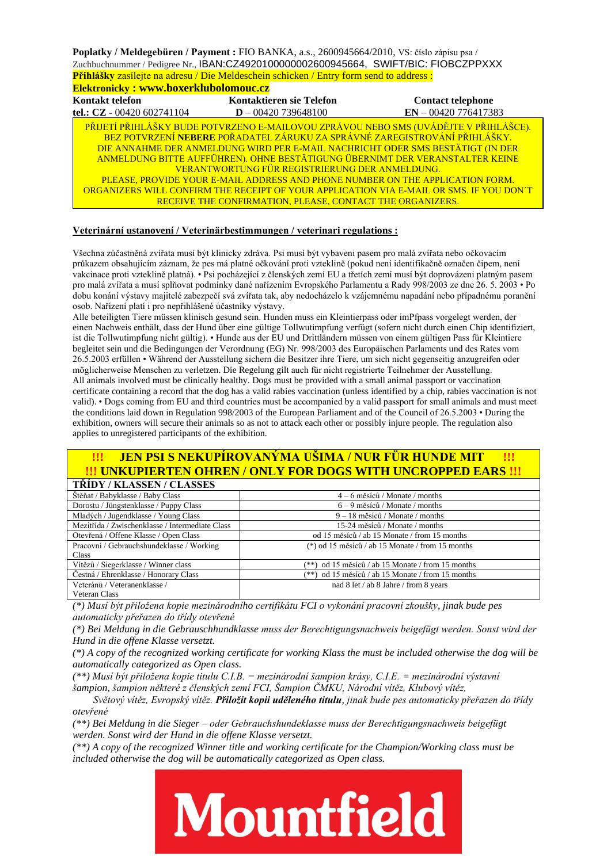**Poplatky / Meldegebüren / Payment :** FIO BANKA, a.s., 2600945664/2010, VS: číslo zápisu psa / Zuchbuchnummer / Pedigree Nr., IBAN:CZ4920100000002600945664, SWIFT/BIC: FIOBCZPPXXX **Přihlášky** zasílejte na adresu / Die Meldeschein schicken / Entry form send to address :

| <u>1 minstry Eastrope ha agreed, Bie mergesehem semenen / Einr / Torm send to agaress .</u> |                                                                                                                                                                                                                                                                                          |                                                                                                                                                                                                                                                                                                                                                   |  |  |  |  |
|---------------------------------------------------------------------------------------------|------------------------------------------------------------------------------------------------------------------------------------------------------------------------------------------------------------------------------------------------------------------------------------------|---------------------------------------------------------------------------------------------------------------------------------------------------------------------------------------------------------------------------------------------------------------------------------------------------------------------------------------------------|--|--|--|--|
| <b>Elektronicky: www.boxerklubolomouc.cz</b>                                                |                                                                                                                                                                                                                                                                                          |                                                                                                                                                                                                                                                                                                                                                   |  |  |  |  |
| Kontakt telefon                                                                             | Kontaktieren sie Telefon                                                                                                                                                                                                                                                                 | <b>Contact telephone</b>                                                                                                                                                                                                                                                                                                                          |  |  |  |  |
| tel.: CZ - 00420 602741104                                                                  | $D - 00420739648100$                                                                                                                                                                                                                                                                     | $EN - 00420776417383$                                                                                                                                                                                                                                                                                                                             |  |  |  |  |
|                                                                                             | <u>BEZ POTVRZENÍ <b>NEBERE</b> POŘADATEL ZÁRUKU ZA SPRÁVNÉ ZAREGISTROVÁNÍ PŘIHLÁŠKY.</u><br>VERANTWORTUNG FÜR REGISTRIERUNG DER ANMELDUNG.<br>PLEASE, PROVIDE YOUR E-MAIL ADDRESS AND PHONE NUMBER ON THE APPLICATION FORM.<br>RECEIVE THE CONFIRMATION. PLEASE. CONTACT THE ORGANIZERS. | PŘIJETÍ PŘIHLÁŠKY BUDE POTVRZENO E-MAILOVOU ZPRÁVOU NEBO SMS (UVÁDĚJTE V PŘIHLÁŠCE).<br>DIE ANNAHME DER ANMELDUNG WIRD PER E-MAIL NACHRICHT ODER SMS BESTÄTIGT (IN DER<br>ANMELDUNG BITTE AUFFÜHREN). OHNE BESTÄTIGUNG ÜBERNIMT DER VERANSTALTER KEINE<br>ORGANIZERS WILL CONFIRM THE RECEIPT OF YOUR APPLICATION VIA E-MAIL OR SMS. IF YOU DON'T |  |  |  |  |

#### **Veterinární ustanovení / Veterinärbestimmungen / veterinari regulations :**

Všechna zúčastněná zvířata musí být klinicky zdráva. Psi musí být vybaveni pasem pro malá zvířata nebo očkovacím průkazem obsahujícím záznam, že pes má platné očkování proti vzteklině (pokud není identifikačně označen čipem, není vakcinace proti vzteklině platná). • Psi pocházející z členských zemí EU a třetích zemí musí být doprovázeni platným pasem pro malá zvířata a musí splňovat podmínky dané nařízením Evropského Parlamentu a Rady 998/2003 ze dne 26. 5. 2003 • Po dobu konání výstavy majitelé zabezpečí svá zvířata tak, aby nedocházelo k vzájemnému napadání nebo případnému poranění osob. Nařízení platí i pro nepřihlášené účastníky výstavy.

Alle beteiligten Tiere müssen klinisch gesund sein. Hunden muss ein Kleintierpass oder imPfpass vorgelegt werden, der einen Nachweis enthält, dass der Hund über eine gültige Tollwutimpfung verfügt (sofern nicht durch einen Chip identifiziert, ist die Tollwutimpfung nicht gültig). • Hunde aus der EU und Drittländern müssen von einem gültigen Pass für Kleintiere begleitet sein und die Bedingungen der Verordnung (EG) Nr. 998/2003 des Europäischen Parlaments und des Rates vom 26.5.2003 erfüllen • Während der Ausstellung sichern die Besitzer ihre Tiere, um sich nicht gegenseitig anzugreifen oder möglicherweise Menschen zu verletzen. Die Regelung gilt auch für nicht registrierte Teilnehmer der Ausstellung. All animals involved must be clinically healthy. Dogs must be provided with a small animal passport or vaccination certificate containing a record that the dog has a valid rabies vaccination (unless identified by a chip, rabies vaccination is not valid). • Dogs coming from EU and third countries must be accompanied by a valid passport for small animals and must meet the conditions laid down in Regulation 998/2003 of the European Parliament and of the Council of 26.5.2003 • During the exhibition, owners will secure their animals so as not to attack each other or possibly injure people. The regulation also applies to unregistered participants of the exhibition.

## **!!! JEN PSI S NEKUPÍROVANÝMA UŠIMA / NUR FÜR HUNDE MIT !!! !!! UNKUPIERTEN OHREN / ONLY FOR DOGS WITH UNCROPPED EARS !!!**

| <b>TRIDY / KLASSEN / CLASSES</b>                |                                                     |
|-------------------------------------------------|-----------------------------------------------------|
| Štěňat / Babyklasse / Baby Class                | $4-6$ měsíců / Monate / months                      |
| Dorostu / Jüngstenklasse / Puppy Class          | $6 - 9$ měsíců / Monate / months                    |
| Mladých / Jugendklasse / Young Class            | $9 - 18$ měsíců / Monate / months                   |
| Mezitřída / Zwischenklasse / Intermediate Class | 15-24 měsíců / Monate / months                      |
| Otevřená / Offene Klasse / Open Class           | od 15 měsíců / ab 15 Monate / from 15 months        |
| Pracovní / Gebrauchshundeklasse / Working       | (*) od 15 měsíců / ab 15 Monate / from 15 months    |
| Class                                           |                                                     |
| Vítězů / Siegerklasse / Winner class            | $(**)$ od 15 měsíců / ab 15 Monate / from 15 months |
| Čestná / Ehrenklasse / Honorary Class           | $(**)$ od 15 měsíců / ab 15 Monate / from 15 months |
| Veteránů / Veteranenklasse /                    | nad 8 let / ab 8 Jahre / from 8 years               |
| Veteran Class                                   |                                                     |

*(\*) Musí být přiložena kopie mezinárodního certifikátu FCI o vykonání pracovní zkoušky, jinak bude pes automaticky přeřazen do třídy otevřené*

*(\*) Bei Meldung in die Gebrauschhundklasse muss der Berechtigungsnachweis beigefügt werden. Sonst wird der Hund in die offene Klasse versetzt.*

*(\*) A copy of the recognized working certificate for working Klass the must be included otherwise the dog will be automatically categorized as Open class.*

*(\*\*) Musí být přiložena kopie titulu C.I.B. = mezinárodní šampion krásy, C.I.E. = mezinárodní výstavní šampion, šampion některé z členských zemí FCI, Šampion ČMKU, Národní vítěz, Klubový vítěz,*

*Světový vítěz, Evropský vítěz. Přiložit kopii uděleného titulu, jinak bude pes automaticky přeřazen do třídy otevřené*

*(\*\*) Bei Meldung in die Sieger – oder Gebrauchshundeklasse muss der Berechtigungsnachweis beigefügt werden. Sonst wird der Hund in die offene Klasse versetzt.*

*(\*\*) A copy of the recognized Winner title and working certificate for the Champion/Working class must be included otherwise the dog will be automatically categorized as Open class.*